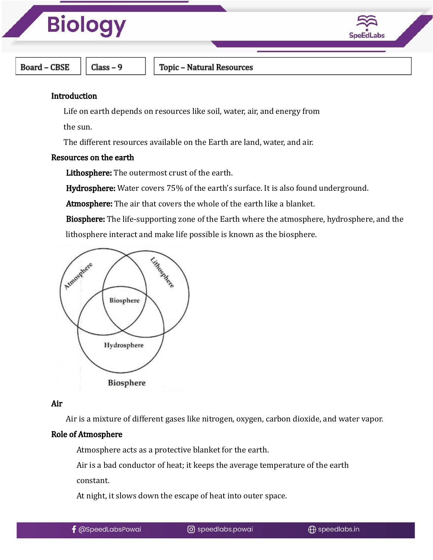



**Board - CBSE** 

 $Class - 9$ 

Topic - Natural Resources

#### **Introduction**

Life on earth depends on resources like soil, water, air, and energy from

the sun.

The different resources available on the Earth are land, water, and air.

#### Resources on the earth

Lithosphere: The outermost crust of the earth.

Hydrosphere: Water covers 75% of the earth's surface. It is also found underground.

Atmosphere: The air that covers the whole of the earth like a blanket.

Biosphere: The life-supporting zone of the Earth where the atmosphere, hydrosphere, and the lithosphere interact and make life possible is known as the biosphere.



#### Air

Air is a mixture of different gases like nitrogen, oxygen, carbon dioxide, and water vapor.

#### Role of Atmosphere

Atmosphere acts as a protective blanket for the earth.

Air is a bad conductor of heat; it keeps the average temperature of the earth

constant.

At night, it slows down the escape of heat into outer space.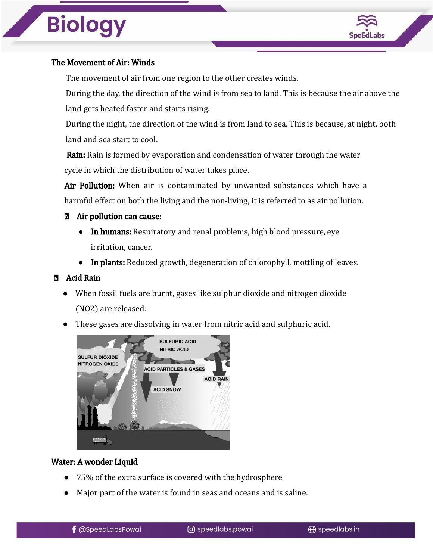

### The Movement of Air: Winds

The movement of air from one region to the other creates winds.

During the day, the direction of the wind is from sea to land. This is because the air above the land gets heated faster and starts rising.

During the night, the direction of the wind is from land to sea. This is because, at night, both land and sea start to cool.

Rain: Rain is formed by evaporation and condensation of water through the water cycle in which the distribution of water takes place.

Air Pollution: When air is contaminated by unwanted substances which have a harmful effect on both the living and the non-living, it is referred to as air pollution.

#### Air pollution can cause:

- In humans: Respiratory and renal problems, high blood pressure, eye irritation, cancer.
- In plants: Reduced growth, degeneration of chlorophyll, mottling of leaves.

#### Acid Rain

- When fossil fuels are burnt, gases like sulphur dioxide and nitrogen dioxide (NO2) are released.
- These gases are dissolving in water from nitric acid and sulphuric acid.



#### Water: A wonder Liquid

- 75% of the extra surface is covered with the hydrosphere
- Major part of the water is found in seas and oceans and is saline.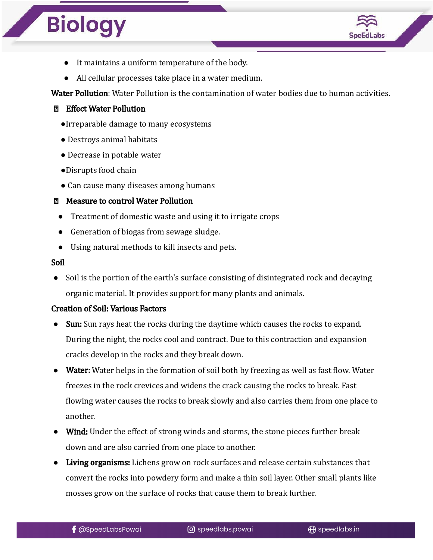

- It maintains a uniform temperature of the body.
- All cellular processes take place in a water medium.

Water Pollution: Water Pollution is the contamination of water bodies due to human activities.

- Effect Water Pollution
	- ●Irreparable damage to many ecosystems
	- Destroys animal habitats
	- Decrease in potable water
	- ●Disrupts food chain
	- Can cause many diseases among humans

#### Measure to control Water Pollution

- Treatment of domestic waste and using it to irrigate crops
- Generation of biogas from sewage sludge.
- Using natural methods to kill insects and pets.

#### Soil

• Soil is the portion of the earth's surface consisting of disintegrated rock and decaying organic material. It provides support for many plants and animals.

#### Creation of Soil: Various Factors

- Sun: Sun rays heat the rocks during the daytime which causes the rocks to expand. During the night, the rocks cool and contract. Due to this contraction and expansion cracks develop in the rocks and they break down.
- Water: Water helps in the formation of soil both by freezing as well as fast flow. Water freezes in the rock crevices and widens the crack causing the rocks to break. Fast flowing water causes the rocks to break slowly and also carries them from one place to another.
- Wind: Under the effect of strong winds and storms, the stone pieces further break down and are also carried from one place to another.
- Living organisms: Lichens grow on rock surfaces and release certain substances that convert the rocks into powdery form and make a thin soil layer. Other small plants like mosses grow on the surface of rocks that cause them to break further.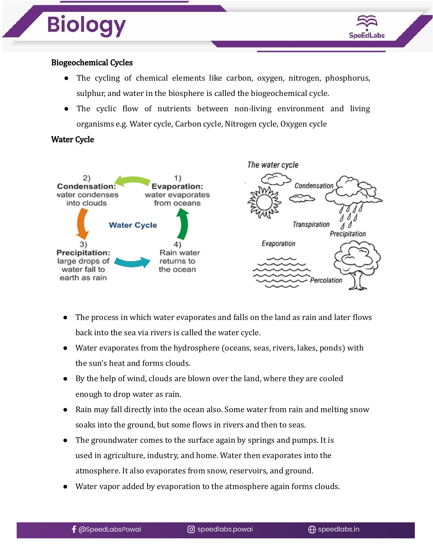

### Biogeochemical Cycles

- The cycling of chemical elements like carbon, oxygen, nitrogen, phosphorus, sulphur, and water in the biosphere is called the biogeochemical cycle.
- The cyclic flow of nutrients between non-living environment and living organisms e.g. Water cycle, Carbon cycle, Nitrogen cycle, Oxygen cycle

#### Water Cycle



- The process in which water evaporates and falls on the land as rain and later flows back into the sea via rivers is called the water cycle.
- Water evaporates from the hydrosphere (oceans, seas, rivers, lakes, ponds) with the sun's heat and forms clouds.
- By the help of wind, clouds are blown over the land, where they are cooled enough to drop water as rain.
- Rain may fall directly into the ocean also. Some water from rain and melting snow soaks into the ground, but some flows in rivers and then to seas.
- The groundwater comes to the surface again by springs and pumps. It is used in agriculture, industry, and home. Water then evaporates into the atmosphere. It also evaporates from snow, reservoirs, and ground.
- Water vapor added by evaporation to the atmosphere again forms clouds.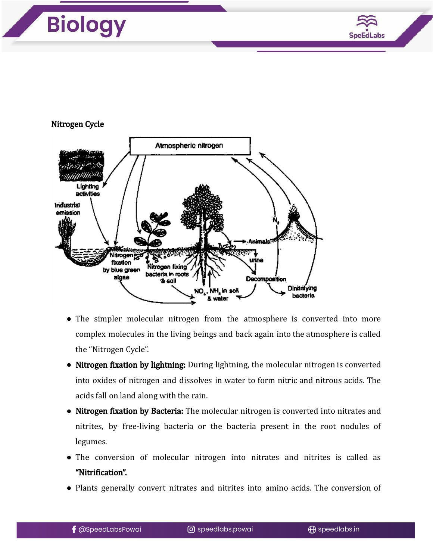

#### Nitrogen Cycle



- The simpler molecular nitrogen from the atmosphere is converted into more complex molecules in the living beings and back again into the atmosphere is called the "Nitrogen Cycle".
- Nitrogen fixation by lightning: During lightning, the molecular nitrogen is converted into oxides of nitrogen and dissolves in water to form nitric and nitrous acids. The acids fall on land along with the rain.
- Nitrogen fixation by Bacteria: The molecular nitrogen is converted into nitrates and nitrites, by free-living bacteria or the bacteria present in the root nodules of legumes.
- The conversion of molecular nitrogen into nitrates and nitrites is called as "Nitrification".
- Plants generally convert nitrates and nitrites into amino acids. The conversion of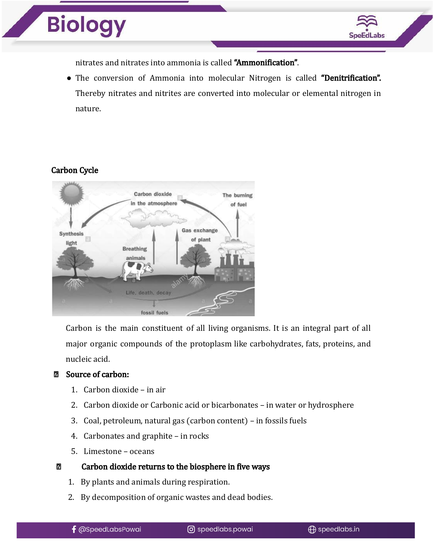



nitrates and nitrates into ammonia is called "Ammonification".

• The conversion of Ammonia into molecular Nitrogen is called "Denitrification". Thereby nitrates and nitrites are converted into molecular or elemental nitrogen in nature.

#### Carbon Cycle



Carbon is the main constituent of all living organisms. It is an integral part of all major organic compounds of the protoplasm like carbohydrates, fats, proteins, and nucleic acid.

#### Source of carbon:

- 1. Carbon dioxide in air
- 2. Carbon dioxide or Carbonic acid or bicarbonates in water or hydrosphere
- 3. Coal, petroleum, natural gas (carbon content) in fossils fuels
- 4. Carbonates and graphite in rocks
- 5. Limestone oceans

#### $\overline{\mathbf{2}}$ Carbon dioxide returns to the biosphere in five ways

- 1. By plants and animals during respiration.
- 2. By decomposition of organic wastes and dead bodies.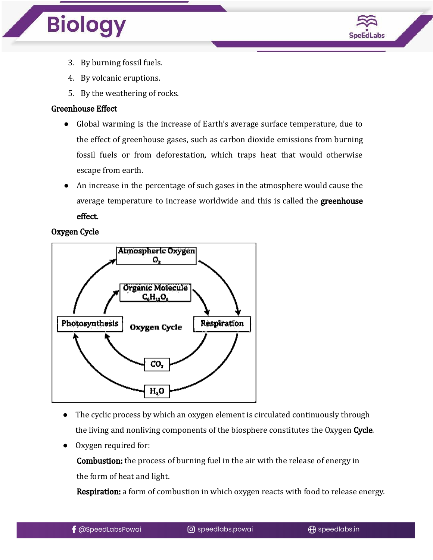

- 3. By burning fossil fuels.
- 4. By volcanic eruptions.
- 5. By the weathering of rocks.

#### Greenhouse Effect

- Global warming is the increase of Earth's average surface temperature, due to the effect of greenhouse gases, such as carbon dioxide emissions from burning fossil fuels or from deforestation, which traps heat that would otherwise escape from earth.
- An increase in the percentage of such gases in the atmosphere would cause the average temperature to increase worldwide and this is called the **greenhouse** effect.

#### Oxygen Cycle



- The cyclic process by which an oxygen element is circulated continuously through the living and nonliving components of the biosphere constitutes the Oxygen Cycle.
- Oxygen required for:

Combustion: the process of burning fuel in the air with the release of energy in the form of heat and light.

**Respiration:** a form of combustion in which oxygen reacts with food to release energy.